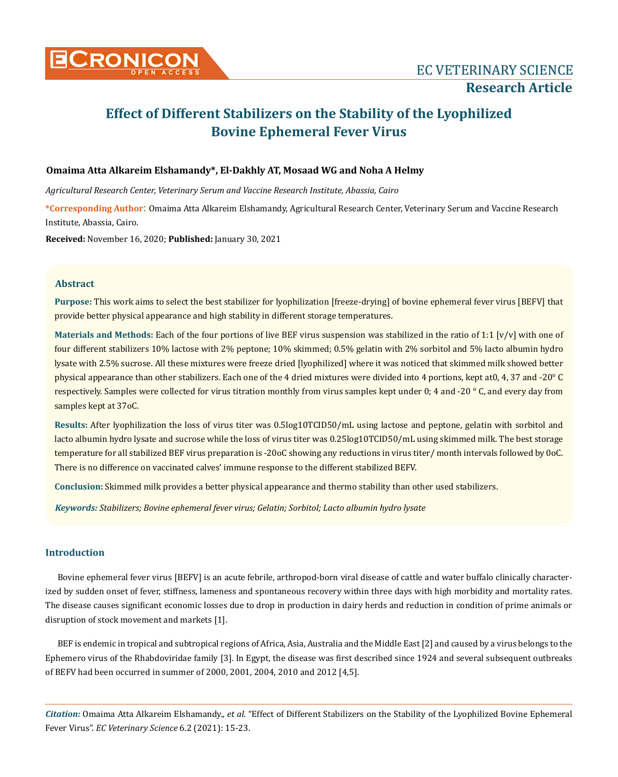

# **Effect of Different Stabilizers on the Stability of the Lyophilized Bovine Ephemeral Fever Virus**

# **Omaima Atta Alkareim Elshamandy\*, El-Dakhly AT, Mosaad WG and Noha A Helmy**

*Agricultural Research Center, Veterinary Serum and Vaccine Research Institute, Abassia, Cairo*

**\*Corresponding Author**: Omaima Atta Alkareim Elshamandy, Agricultural Research Center, Veterinary Serum and Vaccine Research Institute, Abassia, Cairo.

**Received:** November 16, 2020; **Published:** January 30, 2021

# **Abstract**

**Purpose:** This work aims to select the best stabilizer for lyophilization [freeze-drying] of bovine ephemeral fever virus [BEFV] that provide better physical appearance and high stability in different storage temperatures.

**Materials and Methods:** Each of the four portions of live BEF virus suspension was stabilized in the ratio of 1:1 [v/v] with one of four different stabilizers 10% lactose with 2% peptone; 10% skimmed; 0.5% gelatin with 2% sorbitol and 5% lacto albumin hydro lysate with 2.5% sucrose. All these mixtures were freeze dried [lyophilized] where it was noticed that skimmed milk showed better physical appearance than other stabilizers. Each one of the 4 dried mixtures were divided into 4 portions, kept at0, 4, 37 and -20° C respectively. Samples were collected for virus titration monthly from virus samples kept under 0; 4 and -20 ° C, and every day from samples kept at 37oC.

**Results:** After lyophilization the loss of virus titer was 0.5log10TCID50/mL using lactose and peptone, gelatin with sorbitol and lacto albumin hydro lysate and sucrose while the loss of virus titer was 0.25log10TCID50/mL using skimmed milk. The best storage temperature for all stabilized BEF virus preparation is -20oC showing any reductions in virus titer/ month intervals followed by 0oC. There is no difference on vaccinated calves' immune response to the different stabilized BEFV.

**Conclusion:** Skimmed milk provides a better physical appearance and thermo stability than other used stabilizers.

*Keywords: Stabilizers; Bovine ephemeral fever virus; Gelatin; Sorbitol; Lacto albumin hydro lysate*

# **Introduction**

Bovine ephemeral fever virus [BEFV] is an acute febrile, arthropod-born viral disease of cattle and water buffalo clinically characterized by sudden onset of fever, stiffness, lameness and spontaneous recovery within three days with high morbidity and mortality rates. The disease causes significant economic losses due to drop in production in dairy herds and reduction in condition of prime animals or disruption of stock movement and markets [1].

BEF is endemic in tropical and subtropical regions of Africa, Asia, Australia and the Middle East [2] and caused by a virus belongs to the Ephemero virus of the Rhabdoviridae family [3]. In Egypt, the disease was first described since 1924 and several subsequent outbreaks of BEFV had been occurred in summer of 2000, 2001, 2004, 2010 and 2012 [4,5].

*Citation:* Omaima Atta Alkareim Elshamandy., *et al*. "Effect of Different Stabilizers on the Stability of the Lyophilized Bovine Ephemeral Fever Virus". *EC Veterinary Science* 6.2 (2021): 15-23.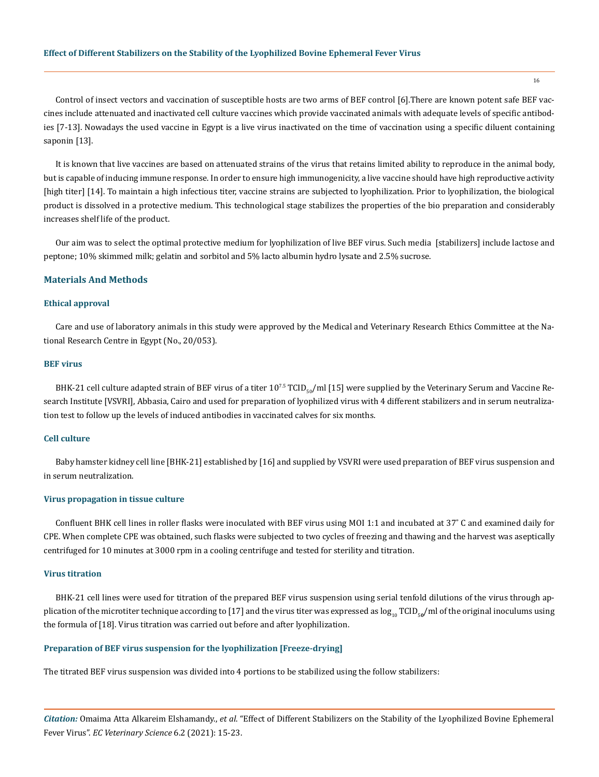Control of insect vectors and vaccination of susceptible hosts are two arms of BEF control [6].There are known potent safe BEF vaccines include attenuated and inactivated cell culture vaccines which provide vaccinated animals with adequate levels of specific antibodies [7-13]. Nowadays the used vaccine in Egypt is a live virus inactivated on the time of vaccination using a specific diluent containing saponin [13].

It is known that live vaccines are based on attenuated strains of the virus that retains limited ability to reproduce in the animal body, but is capable of inducing immune response. In order to ensure high immunogenicity, a live vaccine should have high reproductive activity [high titer] [14]. To maintain a high infectious titer, vaccine strains are subjected to lyophilization. Prior to lyophilization, the biological product is dissolved in a protective medium. This technological stage stabilizes the properties of the bio preparation and considerably increases shelf life of the product.

Our aim was to select the optimal protective medium for lyophilization of live BEF virus. Such media [stabilizers] include lactose and peptone; 10% skimmed milk; gelatin and sorbitol and 5% lacto albumin hydro lysate and 2.5% sucrose.

## **Materials And Methods**

# **Ethical approval**

Care and use of laboratory animals in this study were approved by the Medical and Veterinary Research Ethics Committee at the National Research Centre in Egypt (No., 20/053).

#### **BEF virus**

BHK-21 cell culture adapted strain of BEF virus of a titer  $10^{7.5}$  TCID<sub>s0</sub>/ml [15] were supplied by the Veterinary Serum and Vaccine Research Institute [VSVRI], Abbasia, Cairo and used for preparation of lyophilized virus with 4 different stabilizers and in serum neutralization test to follow up the levels of induced antibodies in vaccinated calves for six months.

# **Cell culture**

Baby hamster kidney cell line [BHK-21] established by [16] and supplied by VSVRI were used preparation of BEF virus suspension and in serum neutralization.

#### **Virus propagation in tissue culture**

Confluent BHK cell lines in roller flasks were inoculated with BEF virus using MOI 1:1 and incubated at 37˚ C and examined daily for CPE. When complete CPE was obtained, such flasks were subjected to two cycles of freezing and thawing and the harvest was aseptically centrifuged for 10 minutes at 3000 rpm in a cooling centrifuge and tested for sterility and titration.

## **Virus titration**

BHK-21 cell lines were used for titration of the prepared BEF virus suspension using serial tenfold dilutions of the virus through application of the microtiter technique according to [17] and the virus titer was expressed as  $\log_{10}$  TCID<sub>50</sub>/ml of the original inoculums using the formula of [18]. Virus titration was carried out before and after lyophilization.

#### **Preparation of BEF virus suspension for the lyophilization [Freeze-drying]**

The titrated BEF virus suspension was divided into 4 portions to be stabilized using the follow stabilizers:

*Citation:* Omaima Atta Alkareim Elshamandy., *et al*. "Effect of Different Stabilizers on the Stability of the Lyophilized Bovine Ephemeral Fever Virus". *EC Veterinary Science* 6.2 (2021): 15-23.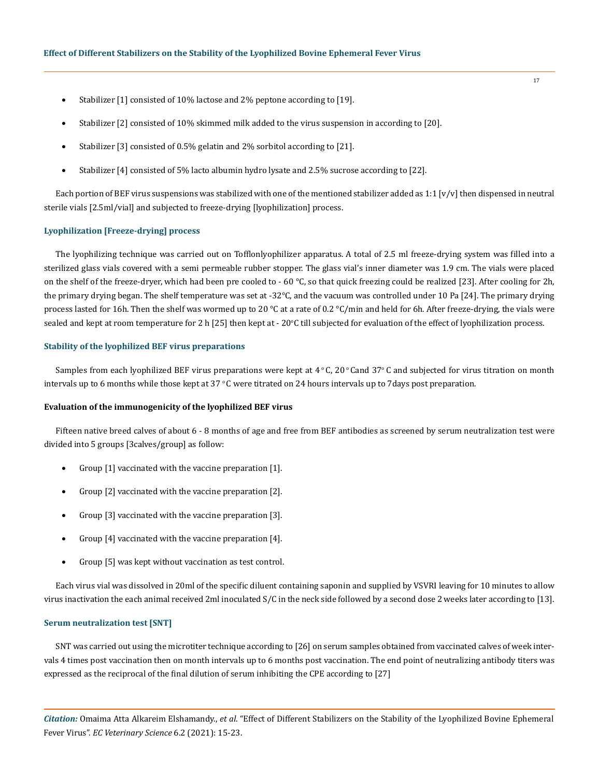- Stabilizer [1] consisted of 10% lactose and 2% peptone according to [19].
- Stabilizer [2] consisted of 10% skimmed milk added to the virus suspension in according to [20].
- Stabilizer [3] consisted of 0.5% gelatin and 2% sorbitol according to [21].
- Stabilizer [4] consisted of 5% lacto albumin hydro lysate and 2.5% sucrose according to [22].

Each portion of BEF virus suspensions was stabilized with one of the mentioned stabilizer added as 1:1  $[v/v]$  then dispensed in neutral sterile vials [2.5ml/vial] and subjected to freeze-drying [lyophilization] process.

# **Lyophilization [Freeze-drying] process**

The lyophilizing technique was carried out on Tofflonlyophilizer apparatus. A total of 2.5 ml freeze-drying system was filled into a sterilized glass vials covered with a semi permeable rubber stopper. The glass vial's inner diameter was 1.9 cm. The vials were placed on the shelf of the freeze-dryer, which had been pre cooled to - 60 °C, so that quick freezing could be realized [23]. After cooling for 2h, the primary drying began. The shelf temperature was set at -32°C, and the vacuum was controlled under 10 Pa [24]. The primary drying process lasted for 16h. Then the shelf was wormed up to 20  $\degree$ C at a rate of 0.2  $\degree$ C/min and held for 6h. After freeze-drying, the vials were sealed and kept at room temperature for 2 h [25] then kept at -  $20^{\circ}$ C till subjected for evaluation of the effect of lyophilization process.

#### **Stability of the lyophilized BEF virus preparations**

Samples from each lyophilized BEF virus preparations were kept at  $4\degree$ C, 20 $\degree$ Cand 37 $\degree$ C and subjected for virus titration on month intervals up to 6 months while those kept at  $37 \degree C$  were titrated on 24 hours intervals up to 7 days post preparation.

## **Evaluation of the immunogenicity of the lyophilized BEF virus**

Fifteen native breed calves of about 6 - 8 months of age and free from BEF antibodies as screened by serum neutralization test were divided into 5 groups [3calves/group] as follow:

- Group  $[1]$  vaccinated with the vaccine preparation  $[1]$ .
- Group [2] vaccinated with the vaccine preparation [2].
- Group  $[3]$  vaccinated with the vaccine preparation  $[3]$ .
- Group [4] vaccinated with the vaccine preparation [4].
- Group [5] was kept without vaccination as test control.

Each virus vial was dissolved in 20ml of the specific diluent containing saponin and supplied by VSVRI leaving for 10 minutes to allow virus inactivation the each animal received 2ml inoculated S/C in the neck side followed by a second dose 2 weeks later according to [13].

## **Serum neutralization test [SNT]**

SNT was carried out using the microtiter technique according to [26] on serum samples obtained from vaccinated calves of week intervals 4 times post vaccination then on month intervals up to 6 months post vaccination. The end point of neutralizing antibody titers was expressed as the reciprocal of the final dilution of serum inhibiting the CPE according to [27]

*Citation:* Omaima Atta Alkareim Elshamandy., *et al*. "Effect of Different Stabilizers on the Stability of the Lyophilized Bovine Ephemeral Fever Virus". *EC Veterinary Science* 6.2 (2021): 15-23.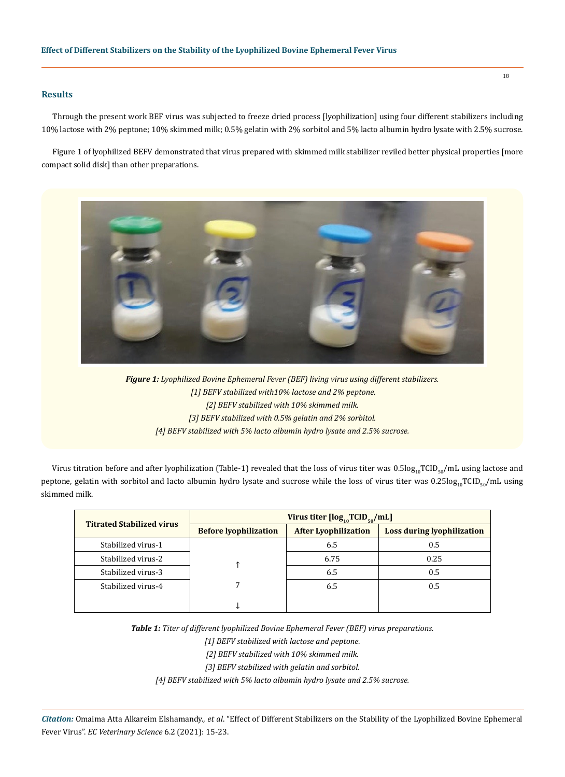# **Results**

Through the present work BEF virus was subjected to freeze dried process [lyophilization] using four different stabilizers including 10% lactose with 2% peptone; 10% skimmed milk; 0.5% gelatin with 2% sorbitol and 5% lacto albumin hydro lysate with 2.5% sucrose.

Figure 1 of lyophilized BEFV demonstrated that virus prepared with skimmed milk stabilizer reviled better physical properties [more compact solid disk] than other preparations.



*Figure 1: Lyophilized Bovine Ephemeral Fever (BEF) living virus using different stabilizers. [1] BEFV stabilized with10% lactose and 2% peptone. [2] BEFV stabilized with 10% skimmed milk. [3] BEFV stabilized with 0.5% gelatin and 2% sorbitol. [4] BEFV stabilized with 5% lacto albumin hydro lysate and 2.5% sucrose.*

Virus titration before and after lyophilization (Table-1) revealed that the loss of virus titer was  $0.5\log_{10}TCD_{50}/mL$  using lactose and peptone, gelatin with sorbitol and lacto albumin hydro lysate and sucrose while the loss of virus titer was 0.25log<sub>10</sub>TCID<sub>50</sub>/mL using skimmed milk.

| <b>Titrated Stabilized virus</b> | Virus titer $[\log_{10}TCID_{50}/mL]$ |                             |                                   |  |  |
|----------------------------------|---------------------------------------|-----------------------------|-----------------------------------|--|--|
|                                  | <b>Before lyophilization</b>          | <b>After Lyophilization</b> | <b>Loss during lyophilization</b> |  |  |
| Stabilized virus-1               |                                       | 6.5                         | 0.5                               |  |  |
| Stabilized virus-2               |                                       | 6.75                        | 0.25                              |  |  |
| Stabilized virus-3               |                                       | 6.5                         | 0.5                               |  |  |
| Stabilized virus-4               |                                       | 6.5                         | 0.5                               |  |  |
|                                  |                                       |                             |                                   |  |  |

*Table 1: Titer of different lyophilized Bovine Ephemeral Fever (BEF) virus preparations.*

*[1] BEFV stabilized with lactose and peptone.* 

*[2] BEFV stabilized with 10% skimmed milk.* 

*[3] BEFV stabilized with gelatin and sorbitol.* 

*[4] BEFV stabilized with 5% lacto albumin hydro lysate and 2.5% sucrose.*

*Citation:* Omaima Atta Alkareim Elshamandy., *et al*. "Effect of Different Stabilizers on the Stability of the Lyophilized Bovine Ephemeral Fever Virus". *EC Veterinary Science* 6.2 (2021): 15-23.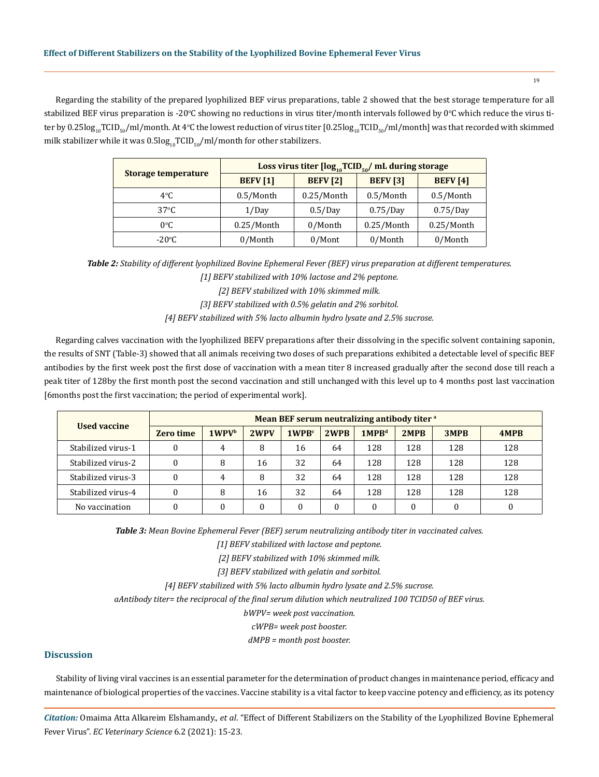Regarding the stability of the prepared lyophilized BEF virus preparations, table 2 showed that the best storage temperature for all stabilized BEF virus preparation is -20°C showing no reductions in virus titer/month intervals followed by 0°C which reduce the virus titer by  $0.25$ log $_{\rm 10}$ TCID $_{\rm 50}$ /ml/month. At 4°C the lowest reduction of virus titer [ $0.25$ log $_{\rm 10}$ TCID $_{\rm 50}$ /ml/month] was that recorded with skimmed milk stabilizer while it was  $0.5\log_{10}TCID_{50}/ml/month$  for other stabilizers.

| Storage temperature | Loss virus titer $[\log_{10}TCID_{50}/mL$ during storage |                 |                 |                 |  |  |
|---------------------|----------------------------------------------------------|-----------------|-----------------|-----------------|--|--|
|                     | <b>BEFV</b> [1]                                          | <b>BEFV</b> [2] | <b>BEFV</b> [3] | <b>BEFV</b> [4] |  |  |
| $4^{\circ}$ C       | 0.5/Month                                                | $0.25/M$ onth   | 0.5/Month       | 0.5/Month       |  |  |
| $37^{\circ}$ C      | 1/Day                                                    | 0.5/Day         | 0.75/Day        | 0.75/Day        |  |  |
| $0^{\circ}$ C       | 0.25/Month                                               | 0/Month         | 0.25/Month      | 0.25/Month      |  |  |
| $-20^{\circ}$ C     | 0/Month                                                  | $0/M$ ont       | 0/Month         | 0/Month         |  |  |

*Table 2: Stability of different lyophilized Bovine Ephemeral Fever (BEF) virus preparation at different temperatures.*

*[1] BEFV stabilized with 10% lactose and 2% peptone.* 

*[2] BEFV stabilized with 10% skimmed milk.* 

*[3] BEFV stabilized with 0.5% gelatin and 2% sorbitol.* 

*[4] BEFV stabilized with 5% lacto albumin hydro lysate and 2.5% sucrose.*

Regarding calves vaccination with the lyophilized BEFV preparations after their dissolving in the specific solvent containing saponin, the results of SNT (Table-3) showed that all animals receiving two doses of such preparations exhibited a detectable level of specific BEF antibodies by the first week post the first dose of vaccination with a mean titer 8 increased gradually after the second dose till reach a peak titer of 128by the first month post the second vaccination and still unchanged with this level up to 4 months post last vaccination [6months post the first vaccination; the period of experimental work].

| <b>Used vaccine</b> | Mean BEF serum neutralizing antibody titer a |       |      |                   |      |                   |      |      |      |
|---------------------|----------------------------------------------|-------|------|-------------------|------|-------------------|------|------|------|
|                     | <b>Zero time</b>                             | 1WPVb | 2WPV | 1WPR <sup>c</sup> | 2WPR | 1MPB <sup>d</sup> | 2MPB | 3MPB | 4MPB |
| Stabilized virus-1  |                                              | 4     | 8    | 16                | 64   | 128               | 128  | 128  | 128  |
| Stabilized virus-2  |                                              | 8     | 16   | 32                | 64   | 128               | 128  | 128  | 128  |
| Stabilized virus-3  |                                              | 4     | 8    | 32                | 64   | 128               | 128  | 128  | 128  |
| Stabilized virus-4  |                                              | 8     | 16   | 32                | 64   | 128               | 128  | 128  | 128  |
| No vaccination      |                                              |       | 0    | $\theta$          | 0    |                   |      |      |      |

*Table 3: Mean Bovine Ephemeral Fever (BEF) serum neutralizing antibody titer in vaccinated calves.*

*[1] BEFV stabilized with lactose and peptone.* 

*[2] BEFV stabilized with 10% skimmed milk.* 

*[3] BEFV stabilized with gelatin and sorbitol.* 

*[4] BEFV stabilized with 5% lacto albumin hydro lysate and 2.5% sucrose.*

*aAntibody titer= the reciprocal of the final serum dilution which neutralized 100 TCID50 of BEF virus.*

*bWPV= week post vaccination.*

*cWPB= week post booster.* 

*dMPB = month post booster.*

# **Discussion**

Stability of living viral vaccines is an essential parameter for the determination of product changes in maintenance period, efficacy and maintenance of biological properties of the vaccines. Vaccine stability is a vital factor to keep vaccine potency and efficiency, as its potency

*Citation:* Omaima Atta Alkareim Elshamandy., *et al*. "Effect of Different Stabilizers on the Stability of the Lyophilized Bovine Ephemeral Fever Virus". *EC Veterinary Science* 6.2 (2021): 15-23.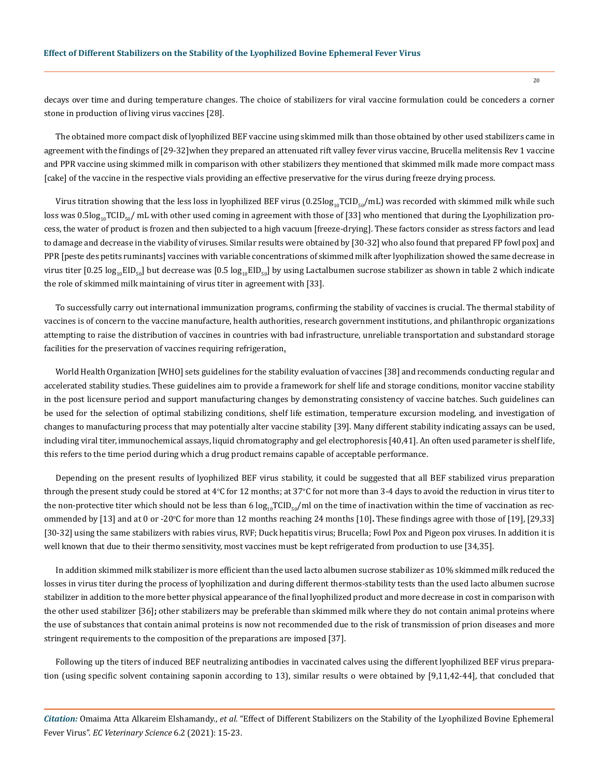decays over time and during temperature changes. The choice of stabilizers for viral vaccine formulation could be conceders a corner stone in production of living virus vaccines [28].

The obtained more compact disk of lyophilized BEF vaccine using skimmed milk than those obtained by other used stabilizers came in agreement with the findings of [29-32]when they prepared an attenuated rift valley fever virus vaccine, Brucella melitensis Rev 1 vaccine and PPR vaccine using skimmed milk in comparison with other stabilizers they mentioned that skimmed milk made more compact mass [cake] of the vaccine in the respective vials providing an effective preservative for the virus during freeze drying process.

Virus titration showing that the less loss in lyophilized BEF virus  $(0.25log_{10}TCD_{50}/mL)$  was recorded with skimmed milk while such loss was 0.5log<sub>10</sub>TCID<sub>50</sub>/ mL with other used coming in agreement with those of [33] who mentioned that during the Lyophilization process, the water of product is frozen and then subjected to a high vacuum [freeze-drying]. These factors consider as stress factors and lead to damage and decrease in the viability of viruses. Similar results were obtained by [30-32] who also found that prepared FP fowl pox] and PPR [peste des petits ruminants] vaccines with variable concentrations of skimmed milk after lyophilization showed the same decrease in virus titer [0.25 log<sub>10</sub>EID<sub>50</sub>] but decrease was [0.5 log<sub>10</sub>EID<sub>50</sub>] by using Lactalbumen sucrose stabilizer as shown in table 2 which indicate the role of skimmed milk maintaining of virus titer in agreement with [33].

To successfully carry out international immunization programs, confirming the stability of vaccines is crucial. The [thermal stability](https://www.sciencedirect.com/topics/biochemistry-genetics-and-molecular-biology/thermostability) of vaccines is of concern to the vaccine manufacture, health authorities, research government institutions, and philanthropic organizations attempting to raise the distribution of vaccines in countries with bad infrastructure, unreliable transportation and substandard storage facilities for the preservation of vaccines requiring refrigeration.

World Health Organization [WHO] sets guidelines for the stability evaluation of vaccines [38] and recommends conducting regular and accelerated stability studies. These guidelines aim to provide a framework for shelf life and storage conditions, monitor vaccine stability in the post licensure period and support manufacturing changes by demonstrating consistency of vaccine batches. Such guidelines can be used for the selection of optimal stabilizing conditions, shelf life estimation, temperature excursion modeling, and investigation of changes to manufacturing process that may potentially alter vaccine stability [39]. Many different stability indicating assays can be used, including viral titer, immunochemical assays, [liquid chromatography](https://www.sciencedirect.com/topics/biochemistry-genetics-and-molecular-biology/liquid-chromatography) and [gel electrophoresis](https://www.sciencedirect.com/topics/biochemistry-genetics-and-molecular-biology/gel-electrophoresis) [40,41]. An often used parameter is shelf life, this refers to the time period during which a drug product remains capable of acceptable performance.

Depending on the present results of lyophilized BEF virus stability, it could be suggested that all BEF stabilized virus preparation through the present study could be stored at 4°C for 12 months; at  $37^{\circ}$ C for not more than 3-4 days to avoid the reduction in virus titer to the non-protective titer which should not be less than 6  $log_{10}TCID_{50}/ml$  on the time of inactivation within the time of vaccination as recommended by [13] and at 0 or -20°C for more than 12 months reaching 24 months [10]. These findings agree with those of [19], [29,33] [30-32] using the same stabilizers with rabies virus, RVF; Duck hepatitis virus; Brucella; Fowl Pox and Pigeon pox viruses. In addition it is well known that due to their thermo sensitivity, most vaccines must be kept refrigerated from production to use [34,35].

In addition skimmed milk stabilizer is more efficient than the used lacto albumen sucrose stabilizer as 10% skimmed milk reduced the losses in virus titer during the process of lyophilization and during different thermos-stability tests than the used lacto albumen sucrose stabilizer in addition to the more better physical appearance of the final lyophilized product and more decrease in cost in comparison with the other used stabilizer [36]**;** other stabilizers may be preferable than skimmed milk where they do not contain animal proteins where the use of substances that contain animal proteins is now not recommended due to the risk of transmission of prion diseases and more stringent requirements to the composition of the preparations are imposed [37].

Following up the titers of induced BEF neutralizing antibodies in vaccinated calves using the different lyophilized BEF virus preparation (using specific solvent containing saponin according to 13), similar results o were obtained by [9,11,42-44], that concluded that

*Citation:* Omaima Atta Alkareim Elshamandy., *et al*. "Effect of Different Stabilizers on the Stability of the Lyophilized Bovine Ephemeral Fever Virus". *EC Veterinary Science* 6.2 (2021): 15-23.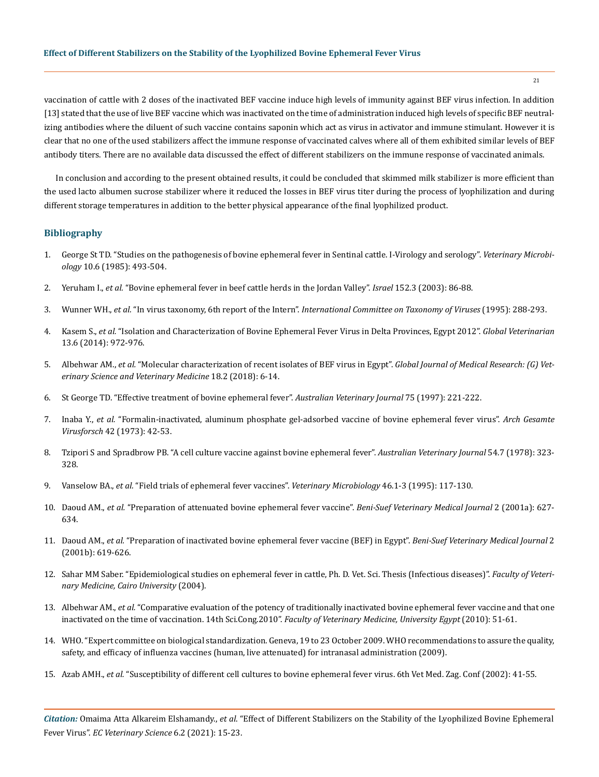vaccination of cattle with 2 doses of the inactivated BEF vaccine induce high levels of immunity against BEF virus infection. In addition [13] stated that the use of live BEF vaccine which was inactivated on the time of administration induced high levels of specific BEF neutralizing antibodies where the diluent of such vaccine contains saponin which act as virus in activator and immune stimulant. However it is clear that no one of the used stabilizers affect the immune response of vaccinated calves where all of them exhibited similar levels of BEF antibody titers. There are no available data discussed the effect of different stabilizers on the immune response of vaccinated animals.

In conclusion and according to the present obtained results, it could be concluded that skimmed milk stabilizer is more efficient than the used lacto albumen sucrose stabilizer where it reduced the losses in BEF virus titer during the process of lyophilization and during different storage temperatures in addition to the better physical appearance of the final lyophilized product.

# **Bibliography**

- 1. [George St TD. "Studies on the pathogenesis of bovine ephemeral fever in Sentinal cattle. I-Virology and serology".](https://www.sciencedirect.com/science/article/pii/0378113585900586) *Veterinary Microbiology* [10.6 \(1985\): 493-504.](https://www.sciencedirect.com/science/article/pii/0378113585900586)
- 2. Yeruham I., *et al.* ["Bovine ephemeral fever in beef cattle herds in the Jordan Valley".](https://pubmed.ncbi.nlm.nih.gov/12570314/) *Israel* 152.3 (2003): 86-88.
- 3. Wunner WH., *et al.* "In virus taxonomy, 6th report of the Intern". *International Committee on Taxonomy of Viruses* (1995): 288-293.
- 4. Kasem S., *et al.* ["Isolation and Characterization of Bovine Ephemeral Fever Virus in Delta Provinces, Egypt 2012".](https://www.researchgate.net/publication/327719372_Isolation_and_Characterization_of_Bovine_Ephemeral_Fever_Virus_in_Delta_Provinces_Egypt_2012) *Global Veterinarian* [13.6 \(2014\): 972-976.](https://www.researchgate.net/publication/327719372_Isolation_and_Characterization_of_Bovine_Ephemeral_Fever_Virus_in_Delta_Provinces_Egypt_2012)
- 5. Albehwar AM., *et al.* ["Molecular characterization of recent isolates of BEF virus in Egypt".](https://www.bjas.bu.edu.eg/upload/2017/5f0ebe91643937.91572004.pdf) *Global Journal of Medical Research: (G) Vet[erinary Science and Veterinary Medicine](https://www.bjas.bu.edu.eg/upload/2017/5f0ebe91643937.91572004.pdf)* 18.2 (2018): 6-14.
- 6. [St George TD. "Effective treatment of bovine ephemeral fever".](https://pubmed.ncbi.nlm.nih.gov/9088520/) *Australian Veterinary Journal* 75 (1997): 221-222.
- 7. Inaba Y., *et al.* ["Formalin-inactivated, aluminum phosphate gel-adsorbed vaccine of bovine ephemeral fever virus".](https://pubmed.ncbi.nlm.nih.gov/4749258/) *Arch Gesamte Virusforsch* [42 \(1973\): 42-53.](https://pubmed.ncbi.nlm.nih.gov/4749258/)
- 8. [Tzipori S and Spradbrow PB. "A cell culture vaccine against bovine ephemeral fever".](https://pubmed.ncbi.nlm.nih.gov/708328/) *Australian Veterinary Journal* 54.7 (1978): 323- [328.](https://pubmed.ncbi.nlm.nih.gov/708328/)
- 9. Vanselow BA., *et al.* ["Field trials of ephemeral fever vaccines".](https://pubmed.ncbi.nlm.nih.gov/8545949/) *Veterinary Microbiology* 46.1-3 (1995): 117-130.
- 10. Daoud AM., *et al.* "Preparation of attenuated bovine ephemeral fever vaccine". *Beni-Suef Veterinary Medical Journal* 2 (2001a): 627- 634.
- 11. Daoud AM., *et al.* "Preparation of inactivated bovine ephemeral fever vaccine (BEF) in Egypt". *Beni-Suef Veterinary Medical Journal* 2 (2001b): 619-626.
- 12. Sahar MM Saber. "Epidemiological studies on ephemeral fever in cattle, Ph. D. Vet. Sci. Thesis (Infectious diseases)". *Faculty of Veterinary Medicine, Cairo University* (2004).
- 13. Albehwar AM., *et al.* "Comparative evaluation of the potency of traditionally inactivated bovine ephemeral fever vaccine and that one inactivated on the time of vaccination. 14th Sci.Cong.2010". *Faculty of Veterinary Medicine, University Egypt* (2010): 51-61.
- 14. WHO. "Expert committee on biological standardization. Geneva, 19 to 23 October 2009. WHO recommendations to assure the quality, safety, and efficacy of influenza vaccines (human, live attenuated) for intranasal administration (2009).
- 15. Azab AMH., *et al.* "Susceptibility of different cell cultures to bovine ephemeral fever virus. 6th Vet Med. Zag. Conf (2002): 41-55.

*Citation:* Omaima Atta Alkareim Elshamandy., *et al*. "Effect of Different Stabilizers on the Stability of the Lyophilized Bovine Ephemeral Fever Virus". *EC Veterinary Science* 6.2 (2021): 15-23.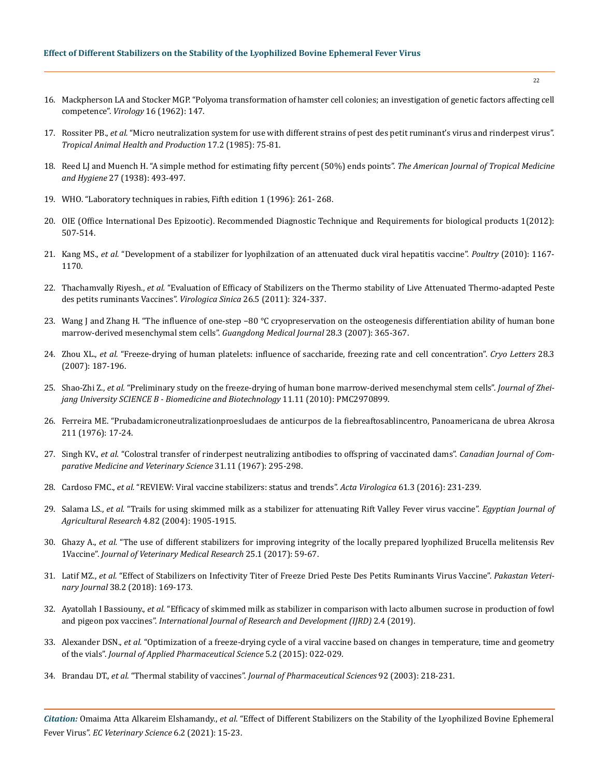- 16. [Mackpherson LA and Stocker MGP. "Polyoma transformation of hamster cell colonies; an investigation of genetic factors affecting cell](https://www.sciencedirect.com/science/article/abs/pii/0042682262902908)  competence". *Virology* [16 \(1962\): 147.](https://www.sciencedirect.com/science/article/abs/pii/0042682262902908)
- 17. Rossiter PB., *et al.* ["Micro neutralization system for use with different strains of pest des petit ruminant's virus and rinderpest virus".](https://pubmed.ncbi.nlm.nih.gov/2411037/)  *[Tropical Animal Health and Production](https://pubmed.ncbi.nlm.nih.gov/2411037/)* 17.2 (1985): 75-81.
- 18. [Reed LJ and Muench H. "A simple method for estimating fifty percent \(50%\) ends points".](https://academic.oup.com/aje/article-abstract/27/3/493/99616) *The American Journal of Tropical Medicine and Hygiene* [27 \(1938\): 493-497.](https://academic.oup.com/aje/article-abstract/27/3/493/99616)
- 19. WHO. "Laboratory techniques in rabies, Fifth edition 1 (1996): 261- 268.
- 20. OIE (Office International Des Epizootic). Recommended Diagnostic Technique and Requirements for biological products 1(2012): 507-514.
- 21. Kang MS., *et al.* ["Development of a stabilizer for lyophilzation of an attenuated duck viral hepatitis vaccine".](https://pubmed.ncbi.nlm.nih.gov/20460663/) *Poultry* (2010): 1167- [1170.](https://pubmed.ncbi.nlm.nih.gov/20460663/)
- 22. Thachamvally Riyesh., *et al.* ["Evaluation of Efficacy of Stabilizers on the Thermo stability of Live Attenuated Thermo-adapted Peste](https://pubmed.ncbi.nlm.nih.gov/21979572/)  [des petits ruminants Vaccines".](https://pubmed.ncbi.nlm.nih.gov/21979572/) *Virologica Sinica* 26.5 (2011): 324-337.
- 23. [Wang J and Zhang H. "The influence of one-step −80 °C cryopreservation on the osteogenesis differentiation ability of human bone](https://translational-medicine.biomedcentral.com/articles/10.1186/s12967-019-02136-7)  [marrow-derived mesenchymal stem cells".](https://translational-medicine.biomedcentral.com/articles/10.1186/s12967-019-02136-7) *Guangdong Medical Journal* 28.3 (2007): 365-367.
- 24. Zhou XL., *et al.* ["Freeze-drying of human platelets: influence of saccharide, freezing rate and cell concentration".](https://pubmed.ncbi.nlm.nih.gov/17898906/) *Cryo Letters* 28.3 [\(2007\): 187-196.](https://pubmed.ncbi.nlm.nih.gov/17898906/)
- 25. Shao-Zhi Z., *et al.* ["Preliminary study on the freeze-drying of human bone marrow-derived mesenchymal stem cells".](https://pubmed.ncbi.nlm.nih.gov/21043058/) *Journal of Zhei[jang University SCIENCE B - Biomedicine and Biotechnology](https://pubmed.ncbi.nlm.nih.gov/21043058/)* 11.11 (2010): PMC2970899.
- 26. Ferreira ME. "Prubadamicroneutralizationproesludaes de anticurpos de la fiebreaftosablincentro, Panoamericana de ubrea Akrosa 211 (1976): 17-24.
- 27. Singh KV., *et al.* ["Colostral transfer of rinderpest neutralizing antibodies to offspring of vaccinated dams".](https://pubmed.ncbi.nlm.nih.gov/4229186/) *Canadian Journal of Com[parative Medicine and Veterinary Science](https://pubmed.ncbi.nlm.nih.gov/4229186/)* 31.11 (1967): 295-298.
- 28. Cardoso FMC., *et al.* ["REVIEW: Viral vaccine stabilizers: status and trends".](https://pubmed.ncbi.nlm.nih.gov/28854787/) *Acta Virologica* 61.3 (2016): 231-239.
- 29. Salama LS., *et al.* "Trails for using skimmed milk as a stabilizer for attenuating Rift Valley Fever virus vaccine". *Egyptian Journal of Agricultural Research* 4.82 (2004): 1905-1915.
- 30. Ghazy A., *et al.* "The use of different stabilizers for improving integrity of the locally prepared lyophilized Brucella melitensis Rev 1Vaccine". *Journal of Veterinary Medical Research* 25.1 (2017): 59-67.
- 31. Latif MZ., *et al.* ["Effect of Stabilizers on Infectivity Titer of Freeze Dried Peste Des Petits Ruminants Virus Vaccine".](https://www.researchgate.net/publication/325295152_Effect_of_Stabilizers_on_Infectivity_Titer_of_Freeze_Dried_Peste_Des_Petits_Ruminants_Virus_Vaccine) *Pakastan Veterinary Journal* [38.2 \(2018\): 169-173.](https://www.researchgate.net/publication/325295152_Effect_of_Stabilizers_on_Infectivity_Titer_of_Freeze_Dried_Peste_Des_Petits_Ruminants_Virus_Vaccine)
- 32. Ayatollah I Bassiouny., *et al.* ["Efficacy of skimmed milk as stabilizer in comparison with lacto albumen sucrose in production of fowl](https://www.semanticscholar.org/paper/EFFICACY-OF-SKIMMED-MILK-AS-STABILIZER-IN-WITH-IN-Bassiouny/d1c9c78d47dac5474f1a1adfb02d36758dfa32a9)  and pigeon pox vaccines". *[International Journal of Research and Development \(IJRD\)](https://www.semanticscholar.org/paper/EFFICACY-OF-SKIMMED-MILK-AS-STABILIZER-IN-WITH-IN-Bassiouny/d1c9c78d47dac5474f1a1adfb02d36758dfa32a9)* 2.4 (2019).
- 33. Alexander DSN., *et al.* ["Optimization of a freeze-drying cycle of a viral vaccine based on changes in temperature, time and geometry](https://www.researchgate.net/publication/305356347_Optimization_of_a_freeze-drying_cycle_of_a_viral_vaccine_based_on_changes_in_temperature_time_and_geometry_of_the_vials)  of the vials". *[Journal of Applied Pharmaceutical Science](https://www.researchgate.net/publication/305356347_Optimization_of_a_freeze-drying_cycle_of_a_viral_vaccine_based_on_changes_in_temperature_time_and_geometry_of_the_vials)* 5.2 (2015): 022-029.
- 34. Brandau DT., *et al.* "Thermal stability of vaccines". *[Journal of Pharmaceutical Sciences](https://pubmed.ncbi.nlm.nih.gov/12532371/)* 92 (2003): 218-231.

*Citation:* Omaima Atta Alkareim Elshamandy., *et al*. "Effect of Different Stabilizers on the Stability of the Lyophilized Bovine Ephemeral Fever Virus". *EC Veterinary Science* 6.2 (2021): 15-23.